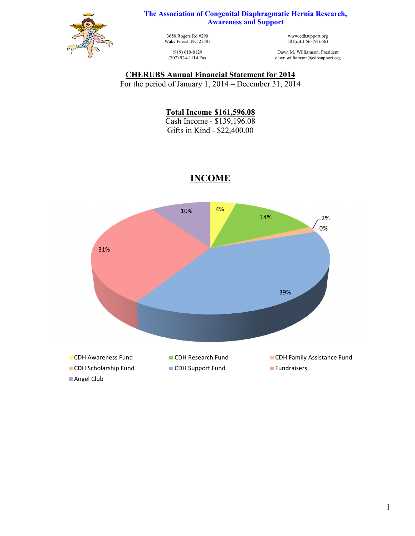

**The Association of Congenital Diaphragmatic Hernia Research, Awareness and Support**

> 3650 Rogers Rd #290 Wake Forest, NC 27587

(919) 610-0129 (707) 924-1114 Fax

www.cdhsupport.org 501(c)III 56-1916661

Dawn M. Williamson, President dawn.williamson@cdhsupport.org

#### **CHERUBS Annual Financial Statement for 2014**

For the period of January 1, 2014 – December 31, 2014

**Total Income \$161,596.08**  Cash Income - \$139,196.08

Gifts in Kind - \$22,400.00



# **INCOME**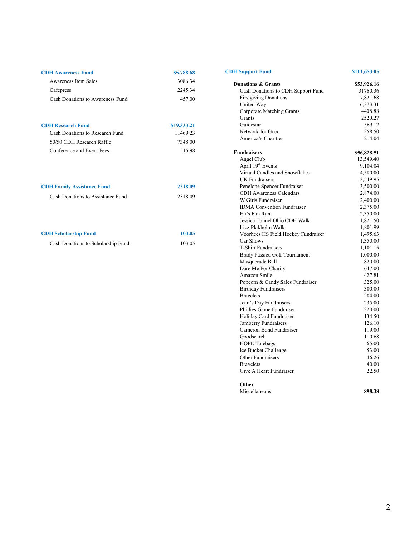| <b>CDH</b> Awareness Fund        | \$5,788.68  |
|----------------------------------|-------------|
| Awareness Item Sales             | 3086.34     |
| Cafepress                        | 2245.34     |
| Cash Donations to Awareness Fund | 457.00      |
| <b>CDH Research Fund</b>         | \$19,333.21 |

| Cash Donations to Research Fund | 11469.23 |
|---------------------------------|----------|
| 50/50 CDH Research Raffle       | 7348.00  |
| Conference and Event Fees       | 515.98   |
|                                 |          |

| <b>CDH Family Assistance Fund</b> | 2318.09 |
|-----------------------------------|---------|
| Cash Donations to Assistance Fund | 2318.09 |

| <b>CDH Scholarship Fund</b>        | 103.05 |
|------------------------------------|--------|
| Cash Donations to Scholarship Fund | 103.05 |

### **Donations & Grants** \$53,926.16 Cash Donations to CDH Support Fund 31760.36 First giving Donations 7,821.68<br>United Way 6,373.31 United Way 6,373.31<br>Corporate Matching Grants 4408.88 Corporate Matching Grants<br>Grants Guidestar 569.12<br>Network for Good 258.50 Network for Good<br>
258.50<br>
214.04<br>
214.04 America's Charities **Fundraisers S56,828.51**<br>
Angel Club 13,549.40<br>
Anril 19<sup>th</sup> Events 9 104.04 Angel Club 13,549.40 April  $19<sup>th</sup>$  Events 9,104.04

**CDH Support Fund \$111,653.05** 

Grants 2520.27

| лрнгтэ суснь                        | 2,104.04 |
|-------------------------------------|----------|
| Virtual Candles and Snowflakes      | 4,580.00 |
| <b>UK</b> Fundraisers               | 3,549.95 |
| Penelope Spencer Fundraiser         | 3,500.00 |
| <b>CDH</b> Awareness Calendars      | 2,874.00 |
| W Girls Fundraiser                  | 2,400.00 |
| <b>IDMA</b> Convention Fundraiser   | 2,375.00 |
| Eli's Fun Run                       | 2,350.00 |
| Jessica Tunnel Ohio CDH Walk        | 1,821.50 |
| Lizz Plakholm Walk                  | 1,801.99 |
| Voorhees HS Field Hockey Fundraiser | 1,495.63 |
| Car Shows                           | 1,350.00 |
| <b>T-Shirt Fundraisers</b>          | 1,101.15 |
| Brady Passieu Golf Tournament       | 1,000.00 |
| Masquerade Ball                     | 820.00   |
| Dare Me For Charity                 | 647.00   |
| Amazon Smile                        | 427.81   |
| Popcorn & Candy Sales Fundraiser    | 325.00   |
| <b>Birthday Fundraisers</b>         | 300.00   |
| <b>Bracelets</b>                    | 284.00   |
| Jean's Day Fundraisers              | 235.00   |
| Phillies Game Fundraiser            | 220.00   |
| Holiday Card Fundraiser             | 134.50   |
| Jamberry Fundraisers                | 126.10   |
| Cameron Bond Fundraiser             | 119.00   |
| Goodsearch                          | 110.68   |
| <b>HOPE</b> Totebags                | 65.00    |
| Ice Bucket Challenge                | 53.00    |
| Other Fundraisers                   | 46.26    |
| <b>Bravelets</b>                    | 40.00    |
| Give A Heart Fundraiser             | 22.50    |
| Other                               |          |

| vuu           |        |
|---------------|--------|
| Miscellaneous | 898.38 |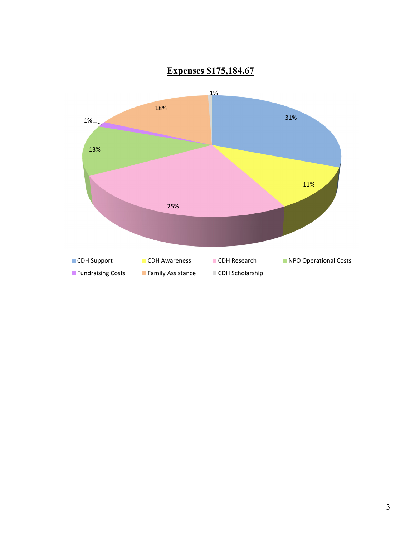

# **Expenses \$175,184.67**